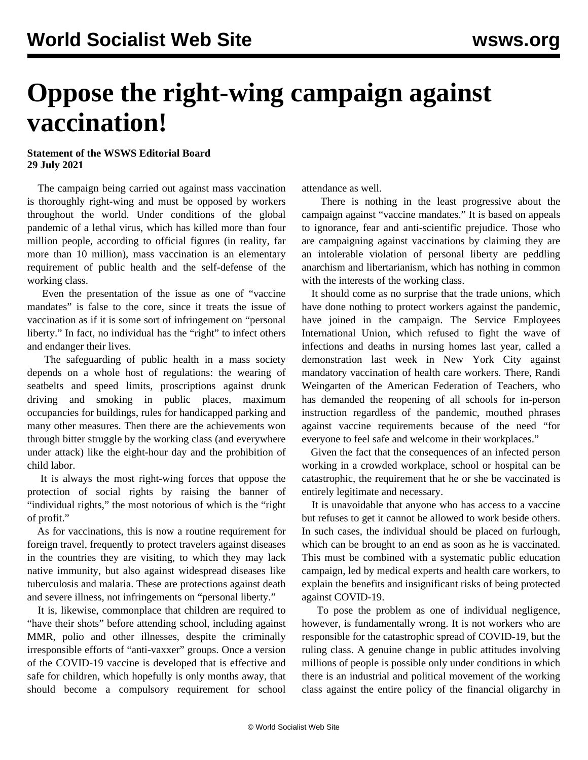## **Oppose the right-wing campaign against vaccination!**

## **Statement of the WSWS Editorial Board 29 July 2021**

 The campaign being carried out against mass vaccination is thoroughly right-wing and must be opposed by workers throughout the world. Under conditions of the global pandemic of a lethal virus, which has killed more than four million people, according to official figures (in reality, far more than 10 million), mass vaccination is an elementary requirement of public health and the self-defense of the working class.

 Even the presentation of the issue as one of "vaccine mandates" is false to the core, since it treats the issue of vaccination as if it is some sort of infringement on "personal liberty." In fact, no individual has the "right" to infect others and endanger their lives.

 The safeguarding of public health in a mass society depends on a whole host of regulations: the wearing of seatbelts and speed limits, proscriptions against drunk driving and smoking in public places, maximum occupancies for buildings, rules for handicapped parking and many other measures. Then there are the achievements won through bitter struggle by the working class (and everywhere under attack) like the eight-hour day and the prohibition of child labor.

 It is always the most right-wing forces that oppose the protection of social rights by raising the banner of "individual rights," the most notorious of which is the "right of profit."

 As for vaccinations, this is now a routine requirement for foreign travel, frequently to protect travelers against diseases in the countries they are visiting, to which they may lack native immunity, but also against widespread diseases like tuberculosis and malaria. These are protections against death and severe illness, not infringements on "personal liberty."

 It is, likewise, commonplace that children are required to "have their shots" before attending school, including against MMR, polio and other illnesses, despite the criminally irresponsible efforts of "anti-vaxxer" groups. Once a version of the COVID-19 vaccine is developed that is effective and safe for children, which hopefully is only months away, that should become a compulsory requirement for school attendance as well.

 There is nothing in the least progressive about the campaign against "vaccine mandates." It is based on appeals to ignorance, fear and anti-scientific prejudice. Those who are campaigning against vaccinations by claiming they are an intolerable violation of personal liberty are peddling anarchism and libertarianism, which has nothing in common with the interests of the working class.

 It should come as no surprise that the trade unions, which have done nothing to protect workers against the pandemic, have joined in the campaign. The Service Employees International Union, which refused to fight the wave of infections and deaths in nursing homes last year, called a demonstration last week in New York City against mandatory vaccination of health care workers. There, Randi Weingarten of the American Federation of Teachers, who has demanded the reopening of all schools for in-person instruction regardless of the pandemic, mouthed phrases against vaccine requirements because of the need "for everyone to feel safe and welcome in their workplaces."

 Given the fact that the consequences of an infected person working in a crowded workplace, school or hospital can be catastrophic, the requirement that he or she be vaccinated is entirely legitimate and necessary.

 It is unavoidable that anyone who has access to a vaccine but refuses to get it cannot be allowed to work beside others. In such cases, the individual should be placed on furlough, which can be brought to an end as soon as he is vaccinated. This must be combined with a systematic public education campaign, led by medical experts and health care workers, to explain the benefits and insignificant risks of being protected against COVID-19.

 To pose the problem as one of individual negligence, however, is fundamentally wrong. It is not workers who are responsible for the catastrophic spread of COVID-19, but the ruling class. A genuine change in public attitudes involving millions of people is possible only under conditions in which there is an industrial and political movement of the working class against the entire policy of the financial oligarchy in